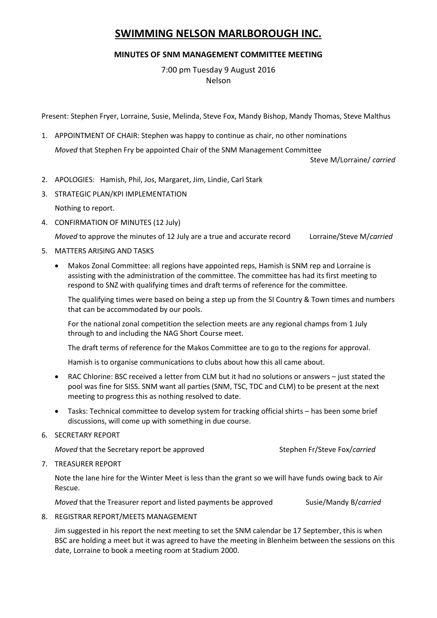# **SWIMMING NELSON MARLBOROUGH INC.**

## **MINUTES OF SNM MANAGEMENT COMMITTEE MEETING**

7:00 pm Tuesday 9 August 2016 Nelson

Present: Stephen Fryer, Lorraine, Susie, Melinda, Steve Fox, Mandy Bishop, Mandy Thomas, Steve Malthus

1. APPOINTMENT OF CHAIR: Stephen was happy to continue as chair, no other nominations *Moved* that Stephen Fry be appointed Chair of the SNM Management Committee

Steve M/Lorraine/ *carried*

- 2. APOLOGIES: Hamish, Phil, Jos, Margaret, Jim, Lindie, Carl Stark
- 3. STRATEGIC PLAN/KPI IMPLEMENTATION

Nothing to report.

4. CONFIRMATION OF MINUTES (12 July)

*Moved* to approve the minutes of 12 July are a true and accurate record Lorraine/Steve M/*carried*

- 5. MATTERS ARISING AND TASKS
	- Makos Zonal Committee: all regions have appointed reps, Hamish is SNM rep and Lorraine is assisting with the administration of the committee. The committee has had its first meeting to respond to SNZ with qualifying times and draft terms of reference for the committee.

The qualifying times were based on being a step up from the SI Country & Town times and numbers that can be accommodated by our pools.

For the national zonal competition the selection meets are any regional champs from 1 July through to and including the NAG Short Course meet.

The draft terms of reference for the Makos Committee are to go to the regions for approval.

Hamish is to organise communications to clubs about how this all came about.

- RAC Chlorine: BSC received a letter from CLM but it had no solutions or answers just stated the pool was fine for SISS. SNM want all parties (SNM, TSC, TDC and CLM) to be present at the next meeting to progress this as nothing resolved to date.
- Tasks: Technical committee to develop system for tracking official shirts has been some brief discussions, will come up with something in due course.
- 6. SECRETARY REPORT

*Moved* that the Secretary report be approved Stephen Fr/Steve Fox/*carried* 

7. TREASURER REPORT

Note the lane hire for the Winter Meet is less than the grant so we will have funds owing back to Air Rescue.

*Moved* that the Treasurer report and listed payments be approved Susie/Mandy B/*carried* 

8. REGISTRAR REPORT/MEETS MANAGEMENT

Jim suggested in his report the next meeting to set the SNM calendar be 17 September, this is when BSC are holding a meet but it was agreed to have the meeting in Blenheim between the sessions on this date, Lorraine to book a meeting room at Stadium 2000.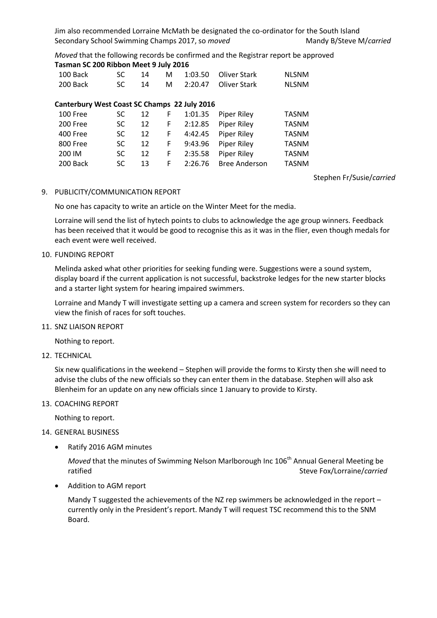Jim also recommended Lorraine McMath be designated the co-ordinator for the South Island Secondary School Swimming Champs 2017, so *moved* Mandy B/Steve M/*carried* 

*Moved* that the following records be confirmed and the Registrar report be approved **Tasman SC 200 Ribbon Meet 9 July 2016**

| 100 Back                                     | SC        | 14 | м | 1:03.50 | Oliver Stark         | <b>NLSNM</b> |
|----------------------------------------------|-----------|----|---|---------|----------------------|--------------|
| 200 Back                                     | SC.       | 14 | м | 2:20.47 | <b>Oliver Stark</b>  | <b>NLSNM</b> |
|                                              |           |    |   |         |                      |              |
| Canterbury West Coast SC Champs 22 July 2016 |           |    |   |         |                      |              |
| 100 Free                                     | SC        | 12 | F | 1:01.35 | <b>Piper Riley</b>   | <b>TASNM</b> |
| 200 Free                                     | SC        | 12 | F | 2:12.85 | <b>Piper Riley</b>   | <b>TASNM</b> |
| <b>400 Free</b>                              | <b>SC</b> | 12 | F | 4:42.45 | <b>Piper Riley</b>   | <b>TASNM</b> |
| 800 Free                                     | SC.       | 12 | F | 9:43.96 | <b>Piper Riley</b>   | <b>TASNM</b> |
| 200 IM                                       | SC        | 12 | F | 2:35.58 | <b>Piper Riley</b>   | <b>TASNM</b> |
| 200 Back                                     | SC.       | 13 | F | 2:26.76 | <b>Bree Anderson</b> | <b>TASNM</b> |

Stephen Fr/Susie/*carried*

#### 9. PUBLICITY/COMMUNICATION REPORT

No one has capacity to write an article on the Winter Meet for the media.

Lorraine will send the list of hytech points to clubs to acknowledge the age group winners. Feedback has been received that it would be good to recognise this as it was in the flier, even though medals for each event were well received.

#### 10. FUNDING REPORT

Melinda asked what other priorities for seeking funding were. Suggestions were a sound system, display board if the current application is not successful, backstroke ledges for the new starter blocks and a starter light system for hearing impaired swimmers.

Lorraine and Mandy T will investigate setting up a camera and screen system for recorders so they can view the finish of races for soft touches.

#### 11. SNZ LIAISON REPORT

Nothing to report.

### 12. TECHNICAL

Six new qualifications in the weekend – Stephen will provide the forms to Kirsty then she will need to advise the clubs of the new officials so they can enter them in the database. Stephen will also ask Blenheim for an update on any new officials since 1 January to provide to Kirsty.

#### 13. COACHING REPORT

Nothing to report.

#### 14. GENERAL BUSINESS

• Ratify 2016 AGM minutes

*Moved* that the minutes of Swimming Nelson Marlborough Inc 106<sup>th</sup> Annual General Meeting be ratified Steve Fox/Lorraine/*carried*

Addition to AGM report

Mandy T suggested the achievements of the NZ rep swimmers be acknowledged in the report – currently only in the President's report. Mandy T will request TSC recommend this to the SNM Board.